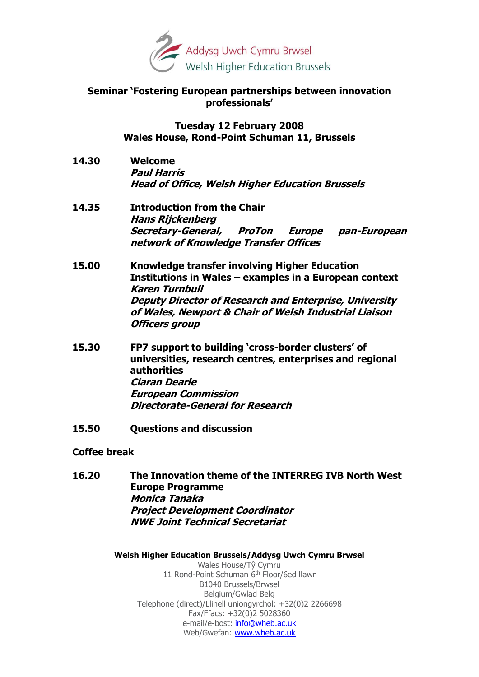

### **Seminar 'Fostering European partnerships between innovation professionals'**

**Tuesday 12 February 2008 Wales House, Rond-Point Schuman 11, Brussels**

- **14.30 Welcome Paul Harris Head of Office, Welsh Higher Education Brussels**
- **14.35 Introduction from the Chair Hans Rijckenberg Secretary-General, ProTon Europe pan-European network of Knowledge Transfer Offices**
- **15.00 Knowledge transfer involving Higher Education Institutions in Wales – examples in a European context Karen Turnbull Deputy Director of Research and Enterprise, University of Wales, Newport & Chair of Welsh Industrial Liaison Officers group**
- **15.30 FP7 support to building 'cross-border clusters' of universities, research centres, enterprises and regional authorities Ciaran Dearle European Commission Directorate-General for Research**
- **15.50 Questions and discussion**

#### **Coffee break**

**16.20 The Innovation theme of the INTERREG IVB North West Europe Programme Monica Tanaka Project Development Coordinator NWE Joint Technical Secretariat**

#### **Welsh Higher Education Brussels/Addysg Uwch Cymru Brwsel**

Wales House/Tŷ Cymru 11 Rond-Point Schuman 6<sup>th</sup> Floor/6ed llawr B1040 Brussels/Brwsel Belgium/Gwlad Belg Telephone (direct)/Llinell uniongyrchol: +32(0)2 2266698 Fax/Ffacs: +32(0)2 5028360 e-mail/e-bost: [info@wheb.ac.uk](mailto:paul.harris@wheb.ac.uk) Web/Gwefan: [www.wheb.ac.uk](http://www.wheb.ac.uk/)